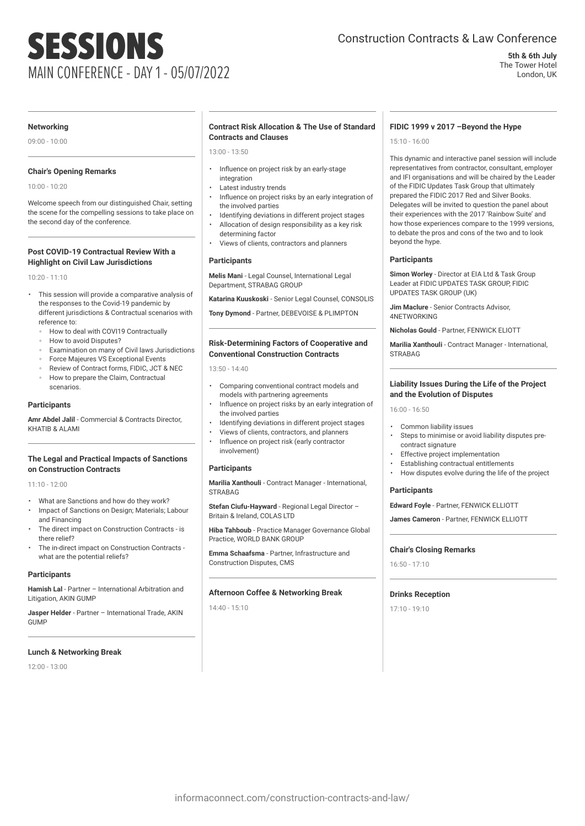# SESSIONS MAIN CONFERENCE - DAY 1 - 05/07/2022

# Construction Contracts & Law Conference

**5th & 6th July** The Tower Hotel London, UK

#### **Networking**

09:00 - 10:00

# **Chair's Opening Remarks**

10:00 - 10:20

Welcome speech from our distinguished Chair, setting the scene for the compelling sessions to take place on the second day of the conference.

# **Post COVID-19 Contractual Review With a Highlight on Civil Law Jurisdictions**

10:20 - 11:10

- This session will provide a comparative analysis of the responses to the Covid-19 pandemic by different jurisdictions & Contractual scenarios with reference to:
	- How to deal with COVI19 Contractually
	- How to avoid Disputes?
	- Examination on many of Civil laws Jurisdictions
	- Force Majeures VS Exceptional Events
	- Review of Contract forms, FIDIC, JCT & NEC
	- How to prepare the Claim, Contractual scenarios.

### **Participants**

**Amr Abdel Jalil** - Commercial & Contracts Director, KHATIB & ALAMI

#### **The Legal and Practical Impacts of Sanctions on Construction Contracts**

 $11:10 - 12:00$ 

- What are Sanctions and how do they work?
- Impact of Sanctions on Design; Materials; Labour and Financing
- The direct impact on Construction Contracts is there relief?
- The in-direct impact on Construction Contracts what are the potential reliefs?

#### **Participants**

**Hamish Lal** - Partner – International Arbitration and Litigation, AKIN GUMP

**Jasper Helder** - Partner – International Trade, AKIN GUMP

#### **Lunch & Networking Break**

12:00 - 13:00

#### **Contract Risk Allocation & The Use of Standard Contracts and Clauses**

13:00 - 13:50

- Influence on project risk by an early-stage integration
- Latest industry trends
- Influence on project risks by an early integration of the involved parties
- Identifying deviations in different project stages
- Allocation of design responsibility as a key risk determining factor
- Views of clients, contractors and planners

#### **Participants**

**Melis Mani** - Legal Counsel, International Legal Department, STRABAG GROUP

**Katarina Kuuskoski** - Senior Legal Counsel, CONSOLIS

**Tony Dymond** - Partner, DEBEVOISE & PLIMPTON

# **Risk-Determining Factors of Cooperative and Conventional Construction Contracts**

13:50 - 14:40

- Comparing conventional contract models and models with partnering agreements
- Influence on project risks by an early integration of the involved parties
- Identifying deviations in different project stages
- Views of clients, contractors, and planners
- Influence on project risk (early contractor involvement)

# **Participants**

**Marilia Xanthouli** - Contract Manager - International, **STRABAG** 

**Stefan Ciufu-Hayward** - Regional Legal Director – Britain & Ireland, COLAS LTD

**Hiba Tahboub** - Practice Manager Governance Global Practice, WORLD BANK GROUP

**Emma Schaafsma** - Partner, Infrastructure and Construction Disputes, CMS

#### **Afternoon Coffee & Networking Break**

14:40 - 15:10

#### **FIDIC 1999 v 2017 –Beyond the Hype**

15:10 - 16:00

This dynamic and interactive panel session will include representatives from contractor, consultant, employer and IFI organisations and will be chaired by the Leader of the FIDIC Updates Task Group that ultimately prepared the FIDIC 2017 Red and Silver Books. Delegates will be invited to question the panel about their experiences with the 2017 'Rainbow Suite' and how those experiences compare to the 1999 versions, to debate the pros and cons of the two and to look beyond the hype.

#### **Participants**

**Simon Worley** - Director at EIA Ltd & Task Group Leader at FIDIC UPDATES TASK GROUP, FIDIC UPDATES TASK GROUP (UK)

**Jim Maclure** - Senior Contracts Advisor, 4NETWORKING

**Nicholas Gould** - Partner, FENWICK ELIOTT

**Marilia Xanthouli** - Contract Manager - International, **STRABAG** 

#### **Liability Issues During the Life of the Project and the Evolution of Disputes**

16:00 - 16:50

- Common liability issues
- Steps to minimise or avoid liability disputes precontract signature
- Effective project implementation
- Establishing contractual entitlements
- How disputes evolve during the life of the project

# **Participants**

**Edward Foyle** - Partner, FENWICK ELLIOTT

**James Cameron** - Partner, FENWICK ELLIOTT

# **Chair's Closing Remarks**

16:50 - 17:10

#### **Drinks Reception**

17:10 - 19:10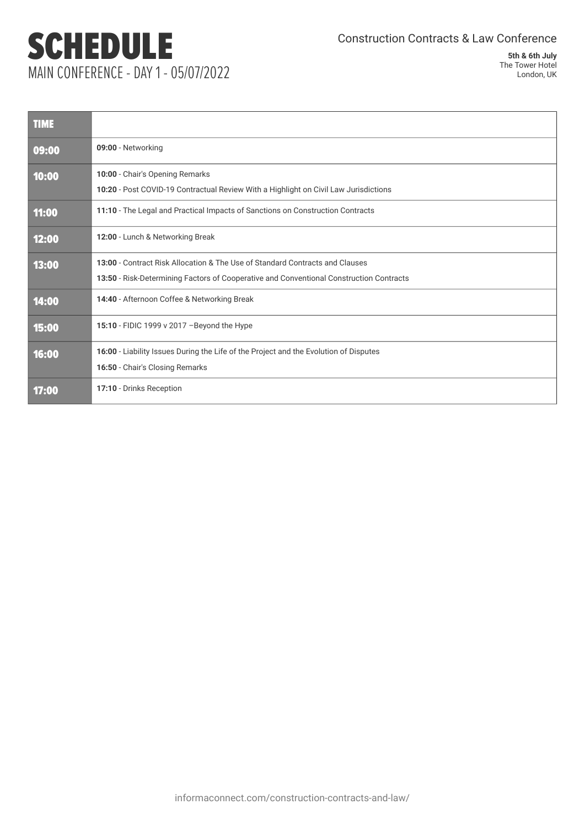# SCHEDULE MAIN CONFERENCE - DAY 1 - 05/07/2022

Construction Contracts & Law Conference

**5th & 6th July** The Tower Hotel London, UK

| <b>TIME</b> |                                                                                                                                                                         |
|-------------|-------------------------------------------------------------------------------------------------------------------------------------------------------------------------|
| 09:00       | 09:00 - Networking                                                                                                                                                      |
| 10:00       | 10:00 - Chair's Opening Remarks<br>10:20 - Post COVID-19 Contractual Review With a Highlight on Civil Law Jurisdictions                                                 |
| 11:00       | 11:10 - The Legal and Practical Impacts of Sanctions on Construction Contracts                                                                                          |
| 12:00       | 12:00 - Lunch & Networking Break                                                                                                                                        |
| 13:00       | 13:00 - Contract Risk Allocation & The Use of Standard Contracts and Clauses<br>13:50 - Risk-Determining Factors of Cooperative and Conventional Construction Contracts |
| 14:00       | 14:40 - Afternoon Coffee & Networking Break                                                                                                                             |
| 15:00       | 15:10 - FIDIC 1999 v 2017 - Beyond the Hype                                                                                                                             |
| 16:00       | 16:00 - Liability Issues During the Life of the Project and the Evolution of Disputes<br>16:50 - Chair's Closing Remarks                                                |
| 17:00       | 17:10 - Drinks Reception                                                                                                                                                |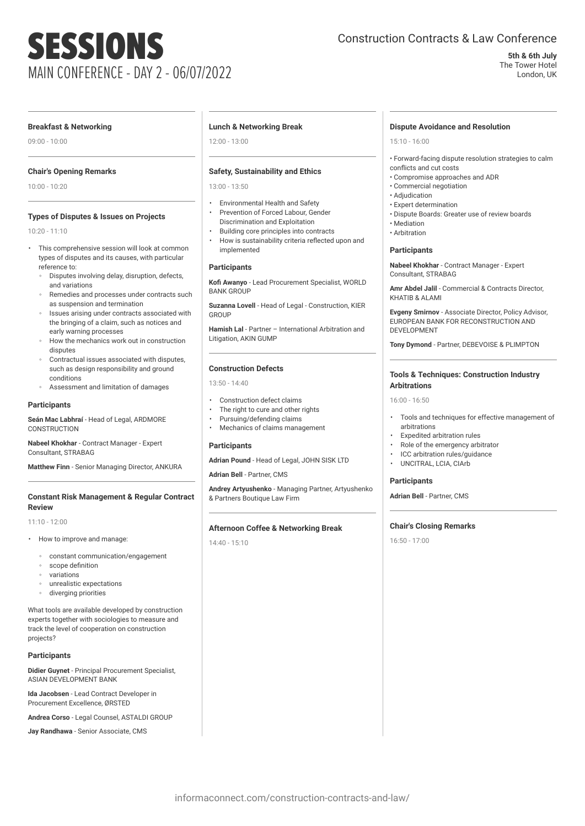# SESSIONS MAIN CONFERENCE - DAY 2 - 06/07/2022

# Construction Contracts & Law Conference

#### **5th & 6th July** The Tower Hotel

London, UK

# **Breakfast & Networking**

09:00 - 10:00

# **Chair's Opening Remarks**

10:00 - 10:20

# **Types of Disputes & Issues on Projects**

10:20 - 11:10

- This comprehensive session will look at common types of disputes and its causes, with particular reference to:
	- Disputes involving delay, disruption, defects, and variations
	- Remedies and processes under contracts such as suspension and termination
	- Issues arising under contracts associated with the bringing of a claim, such as notices and early warning processes
	- How the mechanics work out in construction disputes
	- Contractual issues associated with disputes, such as design responsibility and ground conditions
	- Assessment and limitation of damages

# **Participants**

**Seán Mac Labhraí** - Head of Legal, ARDMORE CONSTRUCTION

**Nabeel Khokhar** - Contract Manager - Expert Consultant, STRABAG

**Matthew Finn** - Senior Managing Director, ANKURA

#### **Constant Risk Management & Regular Contract Review**

11:10 - 12:00

- How to improve and manage:
	- constant communication/engagement
	- scope definition
	- variations
	- unrealistic expectations
	- diverging priorities

What tools are available developed by construction experts together with sociologies to measure and track the level of cooperation on construction projects?

#### **Participants**

**Didier Guynet** - Principal Procurement Specialist, ASIAN DEVELOPMENT BANK

**Ida Jacobsen** - Lead Contract Developer in Procurement Excellence, ØRSTED

**Andrea Corso** - Legal Counsel, ASTALDI GROUP

**Jay Randhawa** - Senior Associate, CMS

#### **Lunch & Networking Break**

12:00 - 13:00

# **Safety, Sustainability and Ethics**

13:00 - 13:50

- Environmental Health and Safety • Prevention of Forced Labour, Gender
- Discrimination and Exploitation • Building core principles into contracts
- How is sustainability criteria reflected upon and implemented

#### **Participants**

**Kofi Awanyo** - Lead Procurement Specialist, WORLD BANK GROUP

**Suzanna Lovell** - Head of Legal - Construction, KIER **GROUP** 

**Hamish Lal** - Partner – International Arbitration and Litigation, AKIN GUMP

#### **Construction Defects**

13:50 - 14:40

- Construction defect claims
- The right to cure and other rights
- Pursuing/defending claims
- Mechanics of claims management

# **Participants**

**Adrian Pound** - Head of Legal, JOHN SISK LTD

**Adrian Bell** - Partner, CMS

**Andrey Artyushenko** - Managing Partner, Artyushenko & Partners Boutique Law Firm

#### **Afternoon Coffee & Networking Break**

14:40 - 15:10

#### **Dispute Avoidance and Resolution**

15:10 - 16:00

• Forward-facing dispute resolution strategies to calm conflicts and cut costs

- Compromise approaches and ADR
- Commercial negotiation
- Adjudication
- Expert determination
- Dispute Boards: Greater use of review boards
- Mediation
- Arbitration

#### **Participants**

**Nabeel Khokhar** - Contract Manager - Expert Consultant, STRABAG

**Amr Abdel Jalil** - Commercial & Contracts Director, KHATIB & ALAMI

**Evgeny Smirnov** - Associate Director, Policy Advisor, EUROPEAN BANK FOR RECONSTRUCTION AND DEVELOPMENT

**Tony Dymond** - Partner, DEBEVOISE & PLIMPTON

# **Tools & Techniques: Construction Industry Arbitrations**

16:00 - 16:50

- Tools and techniques for effective management of arbitrations
- Expedited arbitration rules
- Role of the emergency arbitrator
- ICC arbitration rules/guidance
- UNCITRAL, LCIA, CIArb

#### **Participants**

**Adrian Bell** - Partner, CMS

#### **Chair's Closing Remarks**

16:50 - 17:00